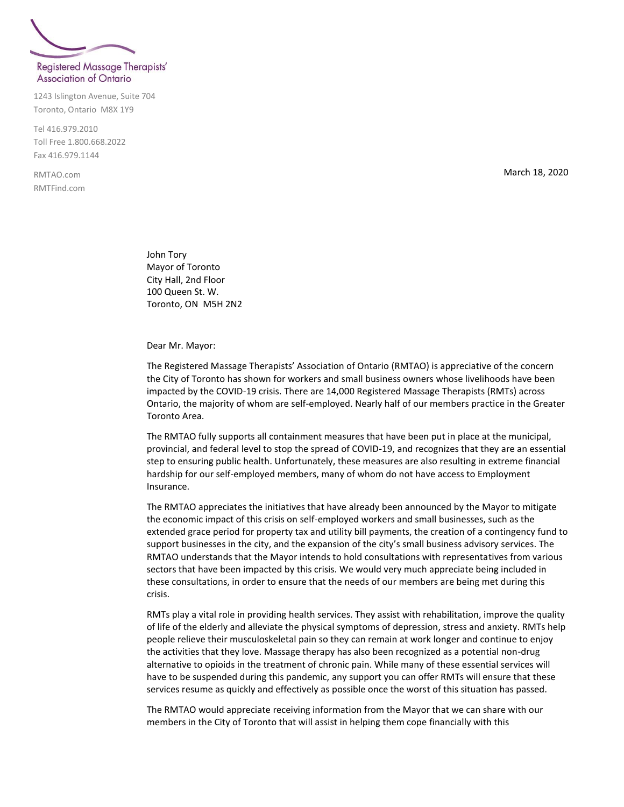## Registered Massage Therapists' **Association of Ontario**

1243 Islington Avenue, Suite 704 Toronto, Ontario M8X 1Y9

Tel 416.979.2010 Toll Free 1.800.668.2022 Fax 416.979.1144

RMTAO.com RMTFind.com March 18, 2020

John Tory Mayor of Toronto City Hall, 2nd Floor 100 Queen St. W. Toronto, ON M5H 2N2

Dear Mr. Mayor:

The Registered Massage Therapists' Association of Ontario (RMTAO) is appreciative of the concern the City of Toronto has shown for workers and small business owners whose livelihoods have been impacted by the COVID-19 crisis. There are 14,000 Registered Massage Therapists (RMTs) across Ontario, the majority of whom are self-employed. Nearly half of our members practice in the Greater Toronto Area.

The RMTAO fully supports all containment measures that have been put in place at the municipal, provincial, and federal level to stop the spread of COVID-19, and recognizes that they are an essential step to ensuring public health. Unfortunately, these measures are also resulting in extreme financial hardship for our self-employed members, many of whom do not have access to Employment Insurance.

The RMTAO appreciates the initiatives that have already been announced by the Mayor to mitigate the economic impact of this crisis on self-employed workers and small businesses, such as the extended grace period for property tax and utility bill payments, the creation of a contingency fund to support businesses in the city, and the expansion of the city's small business advisory services. The RMTAO understands that the Mayor intends to hold consultations with representatives from various sectors that have been impacted by this crisis. We would very much appreciate being included in these consultations, in order to ensure that the needs of our members are being met during this crisis.

RMTs play a vital role in providing health services. They assist with rehabilitation, improve the quality of life of the elderly and alleviate the physical symptoms of depression, stress and anxiety. RMTs help people relieve their musculoskeletal pain so they can remain at work longer and continue to enjoy the activities that they love. Massage therapy has also been recognized as a potential non-drug alternative to opioids in the treatment of chronic pain. While many of these essential services will have to be suspended during this pandemic, any support you can offer RMTs will ensure that these services resume as quickly and effectively as possible once the worst of this situation has passed.

The RMTAO would appreciate receiving information from the Mayor that we can share with our members in the City of Toronto that will assist in helping them cope financially with this